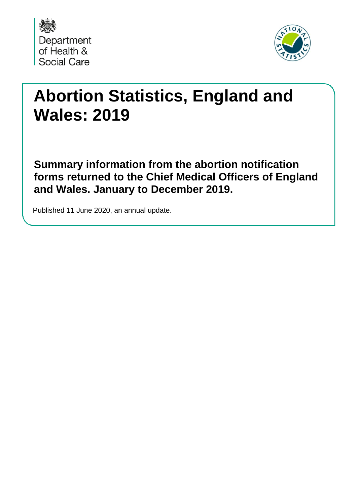



# **Abortion Statistics, England and Wales: 2019**

**Summary information from the abortion notification forms returned to the Chief Medical Officers of England and Wales. January to December 2019.**

Published 11 June 2020, an annual update.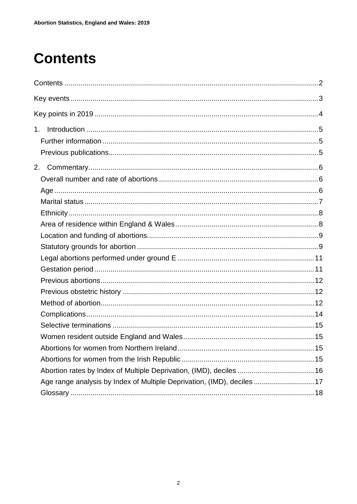# <span id="page-1-0"></span>**Contents**

| 1.                                                                     |  |
|------------------------------------------------------------------------|--|
|                                                                        |  |
|                                                                        |  |
|                                                                        |  |
|                                                                        |  |
|                                                                        |  |
|                                                                        |  |
|                                                                        |  |
|                                                                        |  |
|                                                                        |  |
|                                                                        |  |
|                                                                        |  |
|                                                                        |  |
|                                                                        |  |
|                                                                        |  |
|                                                                        |  |
|                                                                        |  |
|                                                                        |  |
|                                                                        |  |
|                                                                        |  |
|                                                                        |  |
| Abortion rates by Index of Multiple Deprivation, (IMD), deciles  16    |  |
| Age range analysis by Index of Multiple Deprivation, (IMD), deciles 17 |  |
|                                                                        |  |
|                                                                        |  |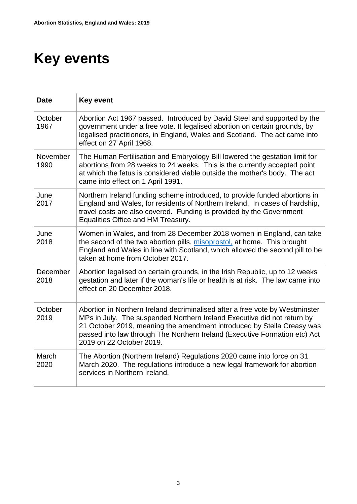# <span id="page-2-0"></span>**Key events**

| <b>Date</b>      | <b>Key event</b>                                                                                                                                                                                                                                                                                                                            |
|------------------|---------------------------------------------------------------------------------------------------------------------------------------------------------------------------------------------------------------------------------------------------------------------------------------------------------------------------------------------|
| October<br>1967  | Abortion Act 1967 passed. Introduced by David Steel and supported by the<br>government under a free vote. It legalised abortion on certain grounds, by<br>legalised practitioners, in England, Wales and Scotland. The act came into<br>effect on 27 April 1968.                                                                            |
| November<br>1990 | The Human Fertilisation and Embryology Bill lowered the gestation limit for<br>abortions from 28 weeks to 24 weeks. This is the currently accepted point<br>at which the fetus is considered viable outside the mother's body. The act<br>came into effect on 1 April 1991.                                                                 |
| June<br>2017     | Northern Ireland funding scheme introduced, to provide funded abortions in<br>England and Wales, for residents of Northern Ireland. In cases of hardship,<br>travel costs are also covered. Funding is provided by the Government<br>Equalities Office and HM Treasury.                                                                     |
| June<br>2018     | Women in Wales, and from 28 December 2018 women in England, can take<br>the second of the two abortion pills, misoprostol, at home. This brought<br>England and Wales in line with Scotland, which allowed the second pill to be<br>taken at home from October 2017.                                                                        |
| December<br>2018 | Abortion legalised on certain grounds, in the Irish Republic, up to 12 weeks<br>gestation and later if the woman's life or health is at risk. The law came into<br>effect on 20 December 2018.                                                                                                                                              |
| October<br>2019  | Abortion in Northern Ireland decriminalised after a free vote by Westminster<br>MPs in July. The suspended Northern Ireland Executive did not return by<br>21 October 2019, meaning the amendment introduced by Stella Creasy was<br>passed into law through The Northern Ireland (Executive Formation etc) Act<br>2019 on 22 October 2019. |
| March<br>2020    | The Abortion (Northern Ireland) Regulations 2020 came into force on 31<br>March 2020. The regulations introduce a new legal framework for abortion<br>services in Northern Ireland.                                                                                                                                                         |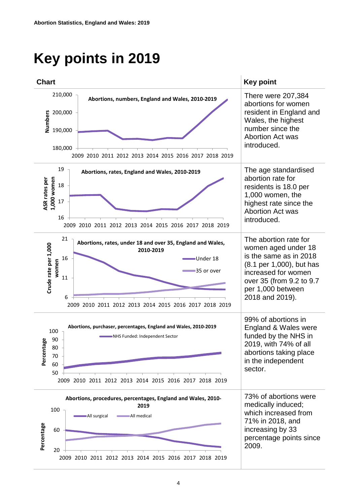# <span id="page-3-0"></span>**Key points in 2019**

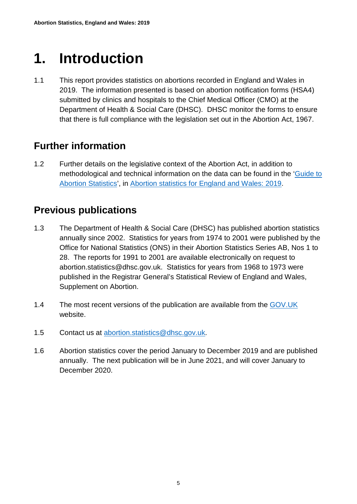# <span id="page-4-0"></span>**1. Introduction**

1.1 This report provides statistics on abortions recorded in England and Wales in 2019. The information presented is based on abortion notification forms (HSA4) submitted by clinics and hospitals to the Chief Medical Officer (CMO) at the Department of Health & Social Care (DHSC). DHSC monitor the forms to ensure that there is full compliance with the legislation set out in the Abortion Act, 1967.

## <span id="page-4-1"></span>**Further information**

1.2 Further details on the legislative context of the Abortion Act, in addition to methodological and technical information on the data can be found in the ['Guide to](https://www.gov.uk/government/collections/abortion-statistics-for-england-and-wales)  [Abortion Statistics'](https://www.gov.uk/government/collections/abortion-statistics-for-england-and-wales), in [Abortion statistics for England and Wales: 2019.](https://www.gov.uk/government/collections/abortion-statistics-for-england-and-wales)

### <span id="page-4-2"></span>**Previous publications**

- 1.3 The Department of Health & Social Care (DHSC) has published abortion statistics annually since 2002. Statistics for years from 1974 to 2001 were published by the Office for National Statistics (ONS) in their Abortion Statistics Series AB, Nos 1 to 28. The reports for 1991 to 2001 are available electronically on request to abortion.statistics@dhsc.gov.uk. Statistics for years from 1968 to 1973 were published in the Registrar General's Statistical Review of England and Wales, Supplement on Abortion.
- 1.4 The most recent versions of the publication are available from the [GOV.UK](https://www.gov.uk/government/collections/abortion-statistics-for-england-and-wales) website.
- 1.5 Contact us at [abortion.statistics@dhsc.gov.uk.](mailto:abortion.statistics@dhsc.gov.uk)
- 1.6 Abortion statistics cover the period January to December 2019 and are published annually. The next publication will be in June 2021, and will cover January to December 2020.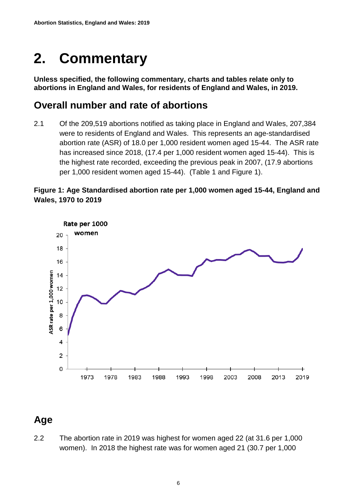# <span id="page-5-0"></span>**2. Commentary**

**Unless specified, the following commentary, charts and tables relate only to abortions in England and Wales, for residents of England and Wales, in 2019.**

#### <span id="page-5-1"></span>**Overall number and rate of abortions**

2.1 Of the 209,519 abortions notified as taking place in England and Wales, 207,384 were to residents of England and Wales. This represents an age-standardised abortion rate (ASR) of 18.0 per 1,000 resident women aged 15-44. The ASR rate has increased since 2018, (17.4 per 1,000 resident women aged 15-44). This is the highest rate recorded, exceeding the previous peak in 2007, (17.9 abortions per 1,000 resident women aged 15-44). (Table 1 and Figure 1).

#### **Figure 1: Age Standardised abortion rate per 1,000 women aged 15-44, England and Wales, 1970 to 2019**



# <span id="page-5-2"></span>**Age**

2.2 The abortion rate in 2019 was highest for women aged 22 (at 31.6 per 1,000 women). In 2018 the highest rate was for women aged 21 (30.7 per 1,000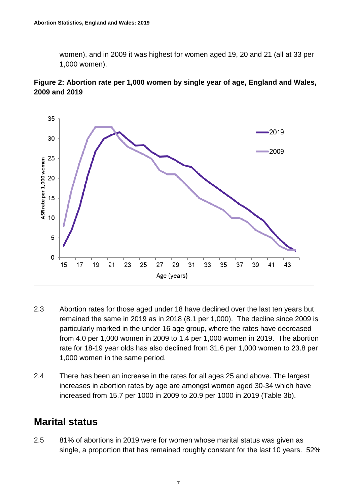women), and in 2009 it was highest for women aged 19, 20 and 21 (all at 33 per 1,000 women).





- 2.3 Abortion rates for those aged under 18 have declined over the last ten years but remained the same in 2019 as in 2018 (8.1 per 1,000). The decline since 2009 is particularly marked in the under 16 age group, where the rates have decreased from 4.0 per 1,000 women in 2009 to 1.4 per 1,000 women in 2019. The abortion rate for 18-19 year olds has also declined from 31.6 per 1,000 women to 23.8 per 1,000 women in the same period.
- 2.4 There has been an increase in the rates for all ages 25 and above. The largest increases in abortion rates by age are amongst women aged 30-34 which have increased from 15.7 per 1000 in 2009 to 20.9 per 1000 in 2019 (Table 3b).

### <span id="page-6-0"></span>**Marital status**

2.5 81% of abortions in 2019 were for women whose marital status was given as single, a proportion that has remained roughly constant for the last 10 years. 52%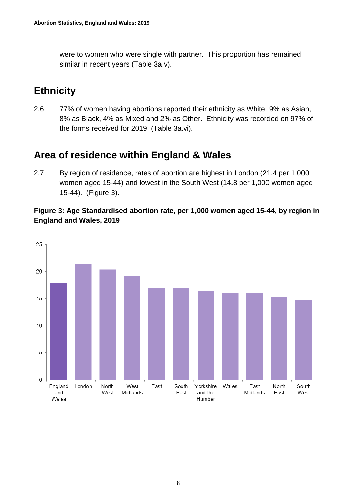were to women who were single with partner. This proportion has remained similar in recent years (Table 3a.v).

# <span id="page-7-0"></span>**Ethnicity**

2.6 77% of women having abortions reported their ethnicity as White, 9% as Asian, 8% as Black, 4% as Mixed and 2% as Other. Ethnicity was recorded on 97% of the forms received for 2019 (Table 3a.vi).

# <span id="page-7-1"></span>**Area of residence within England & Wales**

2.7 By region of residence, rates of abortion are highest in London (21.4 per 1,000 women aged 15-44) and lowest in the South West (14.8 per 1,000 women aged 15-44). (Figure 3).

**Figure 3: Age Standardised abortion rate, per 1,000 women aged 15-44, by region in England and Wales, 2019**

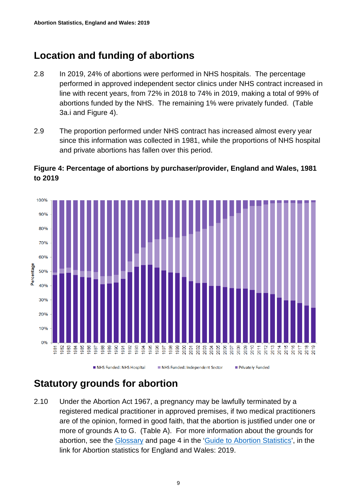## <span id="page-8-0"></span>**Location and funding of abortions**

- 2.8 In 2019, 24% of abortions were performed in NHS hospitals. The percentage performed in approved independent sector clinics under NHS contract increased in line with recent years, from 72% in 2018 to 74% in 2019, making a total of 99% of abortions funded by the NHS. The remaining 1% were privately funded. (Table 3a.i and Figure 4).
- 2.9 The proportion performed under NHS contract has increased almost every year since this information was collected in 1981, while the proportions of NHS hospital and private abortions has fallen over this period.



#### **Figure 4: Percentage of abortions by purchaser/provider, England and Wales, 1981 to 2019**

### <span id="page-8-1"></span>**Statutory grounds for abortion**

2.10 Under the Abortion Act 1967, a pregnancy may be lawfully terminated by a registered medical practitioner in approved premises, if two medical practitioners are of the opinion, formed in good faith, that the abortion is justified under one or more of grounds A to G. (Table A). For more information about the grounds for abortion, see the [Glossary](#page-17-0) and page 4 in the ['Guide to Abortion Statistics'](https://www.gov.uk/government/collections/abortion-statistics-for-england-and-wales), in the link for Abortion statistics for England and Wales: 2019.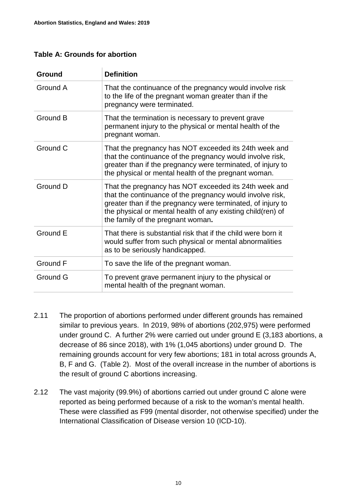#### **Table A: Grounds for abortion**

| Ground   | <b>Definition</b>                                                                                                                                                                                                                                                                     |
|----------|---------------------------------------------------------------------------------------------------------------------------------------------------------------------------------------------------------------------------------------------------------------------------------------|
| Ground A | That the continuance of the pregnancy would involve risk<br>to the life of the pregnant woman greater than if the<br>pregnancy were terminated.                                                                                                                                       |
| Ground B | That the termination is necessary to prevent grave<br>permanent injury to the physical or mental health of the<br>pregnant woman.                                                                                                                                                     |
| Ground C | That the pregnancy has NOT exceeded its 24th week and<br>that the continuance of the pregnancy would involve risk,<br>greater than if the pregnancy were terminated, of injury to<br>the physical or mental health of the pregnant woman.                                             |
| Ground D | That the pregnancy has NOT exceeded its 24th week and<br>that the continuance of the pregnancy would involve risk,<br>greater than if the pregnancy were terminated, of injury to<br>the physical or mental health of any existing child(ren) of<br>the family of the pregnant woman. |
| Ground E | That there is substantial risk that if the child were born it<br>would suffer from such physical or mental abnormalities<br>as to be seriously handicapped.                                                                                                                           |
| Ground F | To save the life of the pregnant woman.                                                                                                                                                                                                                                               |
| Ground G | To prevent grave permanent injury to the physical or<br>mental health of the pregnant woman.                                                                                                                                                                                          |

- 2.11 The proportion of abortions performed under different grounds has remained similar to previous years. In 2019, 98% of abortions (202,975) were performed under ground C. A further 2% were carried out under ground E (3,183 abortions, a decrease of 86 since 2018), with 1% (1,045 abortions) under ground D. The remaining grounds account for very few abortions; 181 in total across grounds A, B, F and G. (Table 2). Most of the overall increase in the number of abortions is the result of ground C abortions increasing.
- 2.12 The vast majority (99.9%) of abortions carried out under ground C alone were reported as being performed because of a risk to the woman's mental health. These were classified as F99 (mental disorder, not otherwise specified) under the International Classification of Disease version 10 (ICD-10).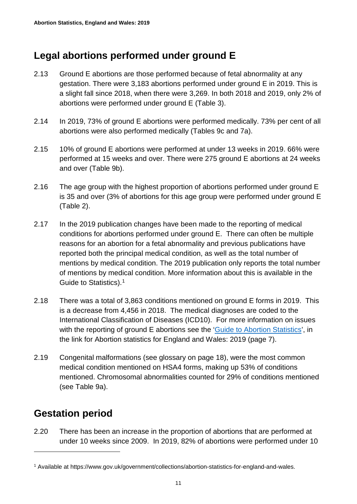### <span id="page-10-0"></span>**Legal abortions performed under ground E**

- 2.13 Ground E abortions are those performed because of fetal abnormality at any gestation. There were 3,183 abortions performed under ground E in 2019. This is a slight fall since 2018, when there were 3,269. In both 2018 and 2019, only 2% of abortions were performed under ground E (Table 3).
- 2.14 In 2019, 73% of ground E abortions were performed medically. 73% per cent of all abortions were also performed medically (Tables 9c and 7a).
- 2.15 10% of ground E abortions were performed at under 13 weeks in 2019. 66% were performed at 15 weeks and over. There were 275 ground E abortions at 24 weeks and over (Table 9b).
- 2.16 The age group with the highest proportion of abortions performed under ground E is 35 and over (3% of abortions for this age group were performed under ground E (Table 2).
- 2.17 In the 2019 publication changes have been made to the reporting of medical conditions for abortions performed under ground E. There can often be multiple reasons for an abortion for a fetal abnormality and previous publications have reported both the principal medical condition, as well as the total number of mentions by medical condition. The 2019 publication only reports the total number of mentions by medical condition. More information about this is available in the Guide to Statistics).<sup>[1](#page-10-2)</sup>
- 2.18 There was a total of 3,863 conditions mentioned on ground E forms in 2019. This is a decrease from 4,456 in 2018. The medical diagnoses are coded to the International Classification of Diseases (ICD10). For more information on issues with the reporting of ground E abortions see the ['Guide to Abortion Statistics'](https://www.gov.uk/government/collections/abortion-statistics-for-england-and-wales), in the link for Abortion statistics for England and Wales: 2019 (page 7).
- 2.19 Congenital malformations (see glossary on page 18), were the most common medical condition mentioned on HSA4 forms, making up 53% of conditions mentioned. Chromosomal abnormalities counted for 29% of conditions mentioned (see Table 9a).

## <span id="page-10-1"></span>**Gestation period**

-

2.20 There has been an increase in the proportion of abortions that are performed at under 10 weeks since 2009. In 2019, 82% of abortions were performed under 10

<span id="page-10-2"></span><sup>1</sup> Available at https://www.gov.uk/government/collections/abortion-statistics-for-england-and-wales.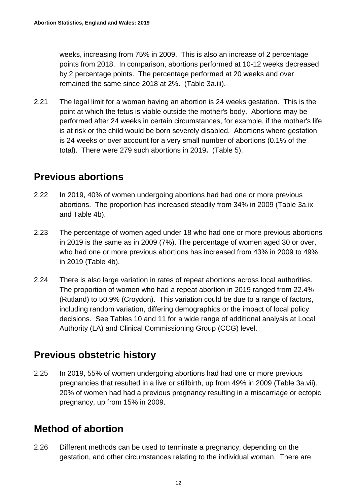weeks, increasing from 75% in 2009. This is also an increase of 2 percentage points from 2018. In comparison, abortions performed at 10-12 weeks decreased by 2 percentage points. The percentage performed at 20 weeks and over remained the same since 2018 at 2%. (Table 3a.iii).

2.21 The legal limit for a woman having an abortion is 24 weeks gestation. This is the point at which the fetus is viable outside the mother's body. Abortions may be performed after 24 weeks in certain circumstances, for example, if the mother's life is at risk or the child would be born severely disabled. Abortions where gestation is 24 weeks or over account for a very small number of abortions (0.1% of the total). There were 279 such abortions in 2019**.** (Table 5).

#### <span id="page-11-0"></span>**Previous abortions**

- 2.22 In 2019, 40% of women undergoing abortions had had one or more previous abortions. The proportion has increased steadily from 34% in 2009 (Table 3a.ix and Table 4b).
- 2.23 The percentage of women aged under 18 who had one or more previous abortions in 2019 is the same as in 2009 (7%). The percentage of women aged 30 or over, who had one or more previous abortions has increased from 43% in 2009 to 49% in 2019 (Table 4b).
- 2.24 There is also large variation in rates of repeat abortions across local authorities. The proportion of women who had a repeat abortion in 2019 ranged from 22.4% (Rutland) to 50.9% (Croydon). This variation could be due to a range of factors, including random variation, differing demographics or the impact of local policy decisions. See Tables 10 and 11 for a wide range of additional analysis at Local Authority (LA) and Clinical Commissioning Group (CCG) level.

### <span id="page-11-1"></span>**Previous obstetric history**

2.25 In 2019, 55% of women undergoing abortions had had one or more previous pregnancies that resulted in a live or stillbirth, up from 49% in 2009 (Table 3a.vii). 20% of women had had a previous pregnancy resulting in a miscarriage or ectopic pregnancy, up from 15% in 2009.

## <span id="page-11-2"></span>**Method of abortion**

2.26 Different methods can be used to terminate a pregnancy, depending on the gestation, and other circumstances relating to the individual woman. There are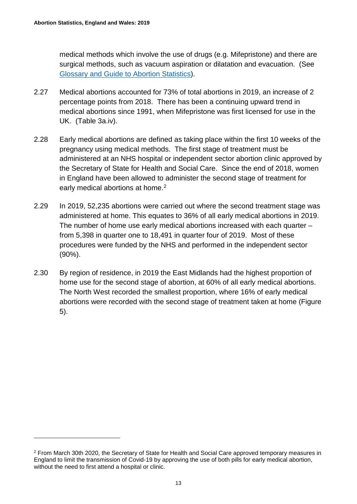$\overline{a}$ 

medical methods which involve the use of drugs (e.g. Mifepristone) and there are surgical methods, such as vacuum aspiration or dilatation and evacuation. (See [Glossary](#page-17-0) and [Guide to Abortion Statistics\)](https://www.gov.uk/government/collections/abortion-statistics-for-england-and-wales).

- 2.27 Medical abortions accounted for 73% of total abortions in 2019, an increase of 2 percentage points from 2018. There has been a continuing upward trend in medical abortions since 1991, when Mifepristone was first licensed for use in the UK. (Table 3a.iv).
- 2.28 Early medical abortions are defined as taking place within the first 10 weeks of the pregnancy using medical methods. The first stage of treatment must be administered at an NHS hospital or independent sector abortion clinic approved by the Secretary of State for Health and Social Care. Since the end of 2018, women in England have been allowed to administer the second stage of treatment for early medical abortions at home.<sup>[2](#page-12-0)</sup>
- 2.29 In 2019, 52,235 abortions were carried out where the second treatment stage was administered at home. This equates to 36% of all early medical abortions in 2019. The number of home use early medical abortions increased with each quarter – from 5,398 in quarter one to 18,491 in quarter four of 2019. Most of these procedures were funded by the NHS and performed in the independent sector (90%).
- 2.30 By region of residence, in 2019 the East Midlands had the highest proportion of home use for the second stage of abortion, at 60% of all early medical abortions. The North West recorded the smallest proportion, where 16% of early medical abortions were recorded with the second stage of treatment taken at home (Figure 5).

<span id="page-12-0"></span><sup>2</sup> From March 30th 2020, the Secretary of State for Health and Social Care approved temporary measures in England to limit the transmission of Covid-19 by approving the use of both pills for early medical abortion, without the need to first attend a hospital or clinic.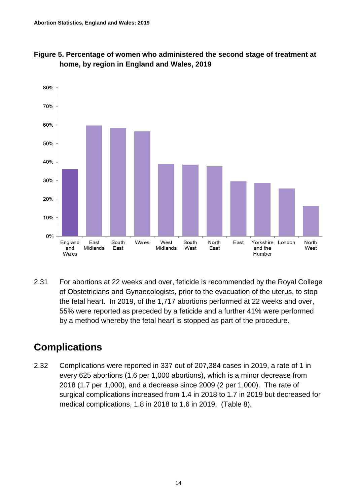



2.31 For abortions at 22 weeks and over, feticide is recommended by the Royal College of Obstetricians and Gynaecologists, prior to the evacuation of the uterus, to stop the fetal heart. In 2019, of the 1,717 abortions performed at 22 weeks and over, 55% were reported as preceded by a feticide and a further 41% were performed by a method whereby the fetal heart is stopped as part of the procedure.

## <span id="page-13-0"></span>**Complications**

2.32 Complications were reported in 337 out of 207,384 cases in 2019, a rate of 1 in every 625 abortions (1.6 per 1,000 abortions), which is a minor decrease from 2018 (1.7 per 1,000), and a decrease since 2009 (2 per 1,000). The rate of surgical complications increased from 1.4 in 2018 to 1.7 in 2019 but decreased for medical complications, 1.8 in 2018 to 1.6 in 2019. (Table 8).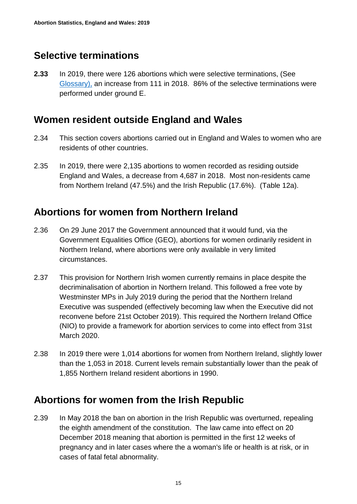# <span id="page-14-0"></span>**Selective terminations**

**2.33** In 2019, there were 126 abortions which were selective terminations, (See [Glossary\)](#page-17-0), an increase from 111 in 2018. 86% of the selective terminations were performed under ground E.

#### <span id="page-14-1"></span>**Women resident outside England and Wales**

- 2.34 This section covers abortions carried out in England and Wales to women who are residents of other countries.
- 2.35 In 2019, there were 2,135 abortions to women recorded as residing outside England and Wales, a decrease from 4,687 in 2018. Most non-residents came from Northern Ireland (47.5%) and the Irish Republic (17.6%). (Table 12a).

### <span id="page-14-2"></span>**Abortions for women from Northern Ireland**

- 2.36 On 29 June 2017 the Government announced that it would fund, via the Government Equalities Office (GEO), abortions for women ordinarily resident in Northern Ireland, where abortions were only available in very limited circumstances.
- 2.37 This provision for Northern Irish women currently remains in place despite the decriminalisation of abortion in Northern Ireland. This followed a free vote by Westminster MPs in July 2019 during the period that the Northern Ireland Executive was suspended (effectively becoming law when the Executive did not reconvene before 21st October 2019). This required the Northern Ireland Office (NIO) to provide a framework for abortion services to come into effect from 31st March 2020.
- 2.38 In 2019 there were 1,014 abortions for women from Northern Ireland, slightly lower than the 1,053 in 2018. Current levels remain substantially lower than the peak of 1,855 Northern Ireland resident abortions in 1990.

### <span id="page-14-3"></span>**Abortions for women from the Irish Republic**

2.39 In May 2018 the ban on abortion in the Irish Republic was overturned, repealing the eighth amendment of the constitution. The law came into effect on 20 December 2018 meaning that abortion is permitted in the first 12 weeks of pregnancy and in later cases where the a woman's life or health is at risk, or in cases of fatal fetal abnormality.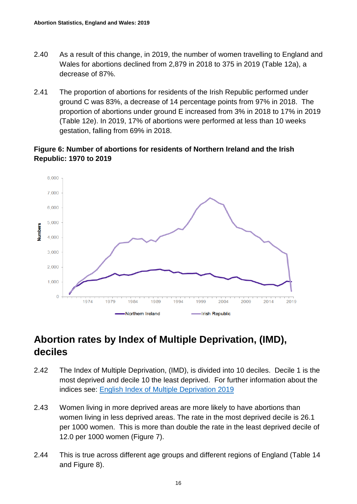- 2.40 As a result of this change, in 2019, the number of women travelling to England and Wales for abortions declined from 2,879 in 2018 to 375 in 2019 (Table 12a), a decrease of 87%.
- 2.41 The proportion of abortions for residents of the Irish Republic performed under ground C was 83%, a decrease of 14 percentage points from 97% in 2018. The proportion of abortions under ground E increased from 3% in 2018 to 17% in 2019 (Table 12e). In 2019, 17% of abortions were performed at less than 10 weeks gestation, falling from 69% in 2018.

#### **Figure 6: Number of abortions for residents of Northern Ireland and the Irish Republic: 1970 to 2019**



# <span id="page-15-0"></span>**Abortion rates by Index of Multiple Deprivation, (IMD), deciles**

- 2.42 The Index of Multiple Deprivation, (IMD), is divided into 10 deciles. Decile 1 is the most deprived and decile 10 the least deprived. For further information about the indices see: [English Index of Multiple Deprivation 2019](https://www.gov.uk/government/statistics/english-indices-of-deprivation-2019)
- 2.43 Women living in more deprived areas are more likely to have abortions than women living in less deprived areas. The rate in the most deprived decile is 26.1 per 1000 women. This is more than double the rate in the least deprived decile of 12.0 per 1000 women (Figure 7).
- 2.44 This is true across different age groups and different regions of England (Table 14 and Figure 8).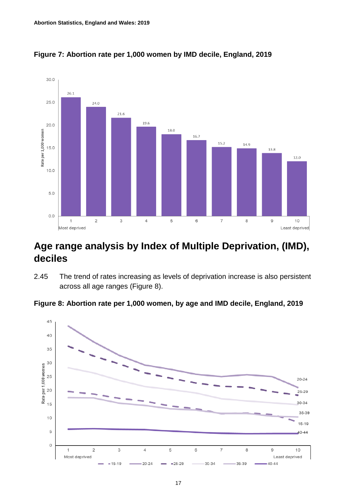

**Figure 7: Abortion rate per 1,000 women by IMD decile, England, 2019**

### <span id="page-16-0"></span>**Age range analysis by Index of Multiple Deprivation, (IMD), deciles**

2.45 The trend of rates increasing as levels of deprivation increase is also persistent across all age ranges (Figure 8).

**Figure 8: Abortion rate per 1,000 women, by age and IMD decile, England, 2019**

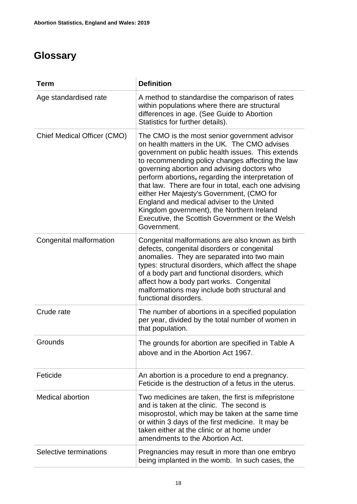# <span id="page-17-0"></span>**Glossary**

| <b>Term</b>                 | <b>Definition</b>                                                                                                                                                                                                                                                                                                                                                                                                                                                                                                                                                           |
|-----------------------------|-----------------------------------------------------------------------------------------------------------------------------------------------------------------------------------------------------------------------------------------------------------------------------------------------------------------------------------------------------------------------------------------------------------------------------------------------------------------------------------------------------------------------------------------------------------------------------|
| Age standardised rate       | A method to standardise the comparison of rates<br>within populations where there are structural<br>differences in age. (See Guide to Abortion<br>Statistics for further details).                                                                                                                                                                                                                                                                                                                                                                                          |
| Chief Medical Officer (CMO) | The CMO is the most senior government advisor<br>on health matters in the UK. The CMO advises<br>government on public health issues. This extends<br>to recommending policy changes affecting the law<br>governing abortion and advising doctors who<br>perform abortions, regarding the interpretation of<br>that law. There are four in total, each one advising<br>either Her Majesty's Government, (CMO for<br>England and medical adviser to the United<br>Kingdom government), the Northern Ireland<br>Executive, the Scottish Government or the Welsh<br>Government. |
| Congenital malformation     | Congenital malformations are also known as birth<br>defects, congenital disorders or congenital<br>anomalies. They are separated into two main<br>types: structural disorders, which affect the shape<br>of a body part and functional disorders, which<br>affect how a body part works. Congenital<br>malformations may include both structural and<br>functional disorders.                                                                                                                                                                                               |
| Crude rate                  | The number of abortions in a specified population<br>per year, divided by the total number of women in<br>that population.                                                                                                                                                                                                                                                                                                                                                                                                                                                  |
| Grounds                     | The grounds for abortion are specified in Table A<br>above and in the Abortion Act 1967.                                                                                                                                                                                                                                                                                                                                                                                                                                                                                    |
| Feticide                    | An abortion is a procedure to end a pregnancy.<br>Feticide is the destruction of a fetus in the uterus.                                                                                                                                                                                                                                                                                                                                                                                                                                                                     |
| <b>Medical abortion</b>     | Two medicines are taken, the first is mifepristone<br>and is taken at the clinic. The second is<br>misoprostol, which may be taken at the same time<br>or within 3 days of the first medicine. It may be<br>taken either at the clinic or at home under<br>amendments to the Abortion Act.                                                                                                                                                                                                                                                                                  |
| Selective terminations      | Pregnancies may result in more than one embryo<br>being implanted in the womb. In such cases, the                                                                                                                                                                                                                                                                                                                                                                                                                                                                           |